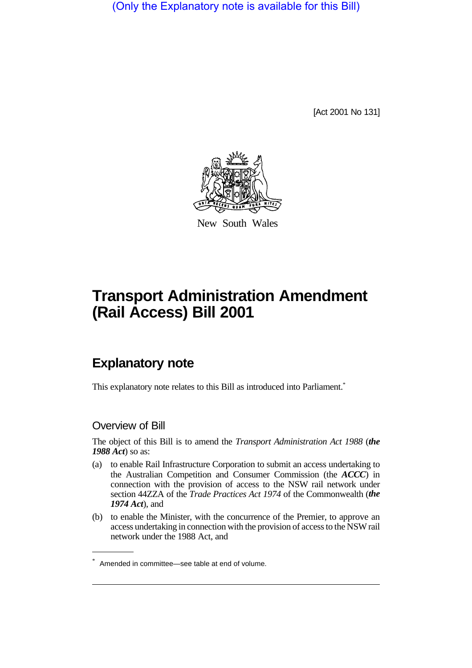(Only the Explanatory note is available for this Bill)

[Act 2001 No 131]



New South Wales

# **Transport Administration Amendment (Rail Access) Bill 2001**

## **Explanatory note**

This explanatory note relates to this Bill as introduced into Parliament.<sup>\*</sup>

### Overview of Bill

The object of this Bill is to amend the *Transport Administration Act 1988* (*the 1988 Act*) so as:

- (a) to enable Rail Infrastructure Corporation to submit an access undertaking to the Australian Competition and Consumer Commission (the *ACCC*) in connection with the provision of access to the NSW rail network under section 44ZZA of the *Trade Practices Act 1974* of the Commonwealth (*the 1974 Act*), and
- (b) to enable the Minister, with the concurrence of the Premier, to approve an access undertaking in connection with the provision of access to the NSW rail network under the 1988 Act, and

<sup>\*</sup> Amended in committee—see table at end of volume.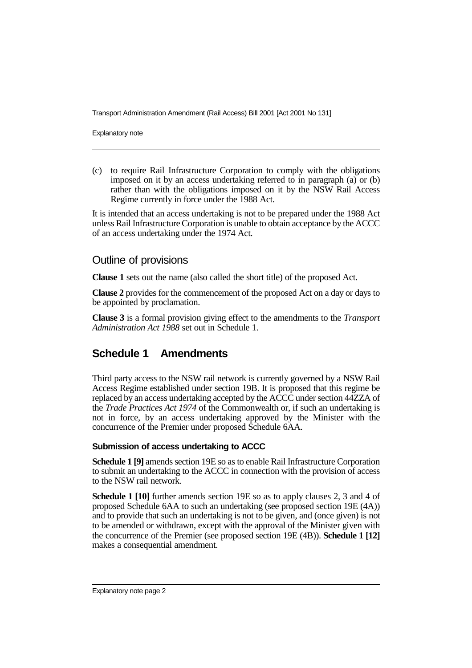Transport Administration Amendment (Rail Access) Bill 2001 [Act 2001 No 131]

Explanatory note

(c) to require Rail Infrastructure Corporation to comply with the obligations imposed on it by an access undertaking referred to in paragraph (a) or (b) rather than with the obligations imposed on it by the NSW Rail Access Regime currently in force under the 1988 Act.

It is intended that an access undertaking is not to be prepared under the 1988 Act unless Rail Infrastructure Corporation is unable to obtain acceptance by the ACCC of an access undertaking under the 1974 Act.

### Outline of provisions

**Clause 1** sets out the name (also called the short title) of the proposed Act.

**Clause 2** provides for the commencement of the proposed Act on a day or days to be appointed by proclamation.

**Clause 3** is a formal provision giving effect to the amendments to the *Transport Administration Act 1988* set out in Schedule 1.

### **Schedule 1 Amendments**

Third party access to the NSW rail network is currently governed by a NSW Rail Access Regime established under section 19B. It is proposed that this regime be replaced by an access undertaking accepted by the ACCC under section 44ZZA of the *Trade Practices Act 1974* of the Commonwealth or, if such an undertaking is not in force, by an access undertaking approved by the Minister with the concurrence of the Premier under proposed Schedule 6AA.

### **Submission of access undertaking to ACCC**

**Schedule 1 [9]** amends section 19E so as to enable Rail Infrastructure Corporation to submit an undertaking to the ACCC in connection with the provision of access to the NSW rail network.

**Schedule 1 [10]** further amends section 19E so as to apply clauses 2, 3 and 4 of proposed Schedule 6AA to such an undertaking (see proposed section 19E (4A)) and to provide that such an undertaking is not to be given, and (once given) is not to be amended or withdrawn, except with the approval of the Minister given with the concurrence of the Premier (see proposed section 19E (4B)). **Schedule 1 [12]** makes a consequential amendment.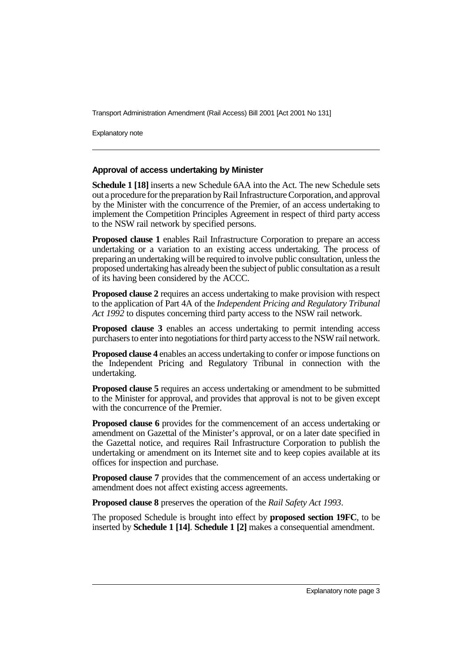Transport Administration Amendment (Rail Access) Bill 2001 [Act 2001 No 131]

Explanatory note

#### **Approval of access undertaking by Minister**

**Schedule 1 [18]** inserts a new Schedule 6AA into the Act. The new Schedule sets out a procedure for the preparation by Rail Infrastructure Corporation, and approval by the Minister with the concurrence of the Premier, of an access undertaking to implement the Competition Principles Agreement in respect of third party access to the NSW rail network by specified persons.

**Proposed clause 1** enables Rail Infrastructure Corporation to prepare an access undertaking or a variation to an existing access undertaking. The process of preparing an undertaking will be required to involve public consultation, unless the proposed undertaking has already been the subject of public consultation as a result of its having been considered by the ACCC.

**Proposed clause 2** requires an access undertaking to make provision with respect to the application of Part 4A of the *Independent Pricing and Regulatory Tribunal Act 1992* to disputes concerning third party access to the NSW rail network.

**Proposed clause 3** enables an access undertaking to permit intending access purchasers to enter into negotiations for third party access to the NSW rail network.

**Proposed clause 4** enables an access undertaking to confer or impose functions on the Independent Pricing and Regulatory Tribunal in connection with the undertaking.

**Proposed clause 5** requires an access undertaking or amendment to be submitted to the Minister for approval, and provides that approval is not to be given except with the concurrence of the Premier.

**Proposed clause 6** provides for the commencement of an access undertaking or amendment on Gazettal of the Minister's approval, or on a later date specified in the Gazettal notice, and requires Rail Infrastructure Corporation to publish the undertaking or amendment on its Internet site and to keep copies available at its offices for inspection and purchase.

**Proposed clause 7** provides that the commencement of an access undertaking or amendment does not affect existing access agreements.

**Proposed clause 8** preserves the operation of the *Rail Safety Act 1993*.

The proposed Schedule is brought into effect by **proposed section 19FC**, to be inserted by **Schedule 1 [14]**. **Schedule 1 [2]** makes a consequential amendment.